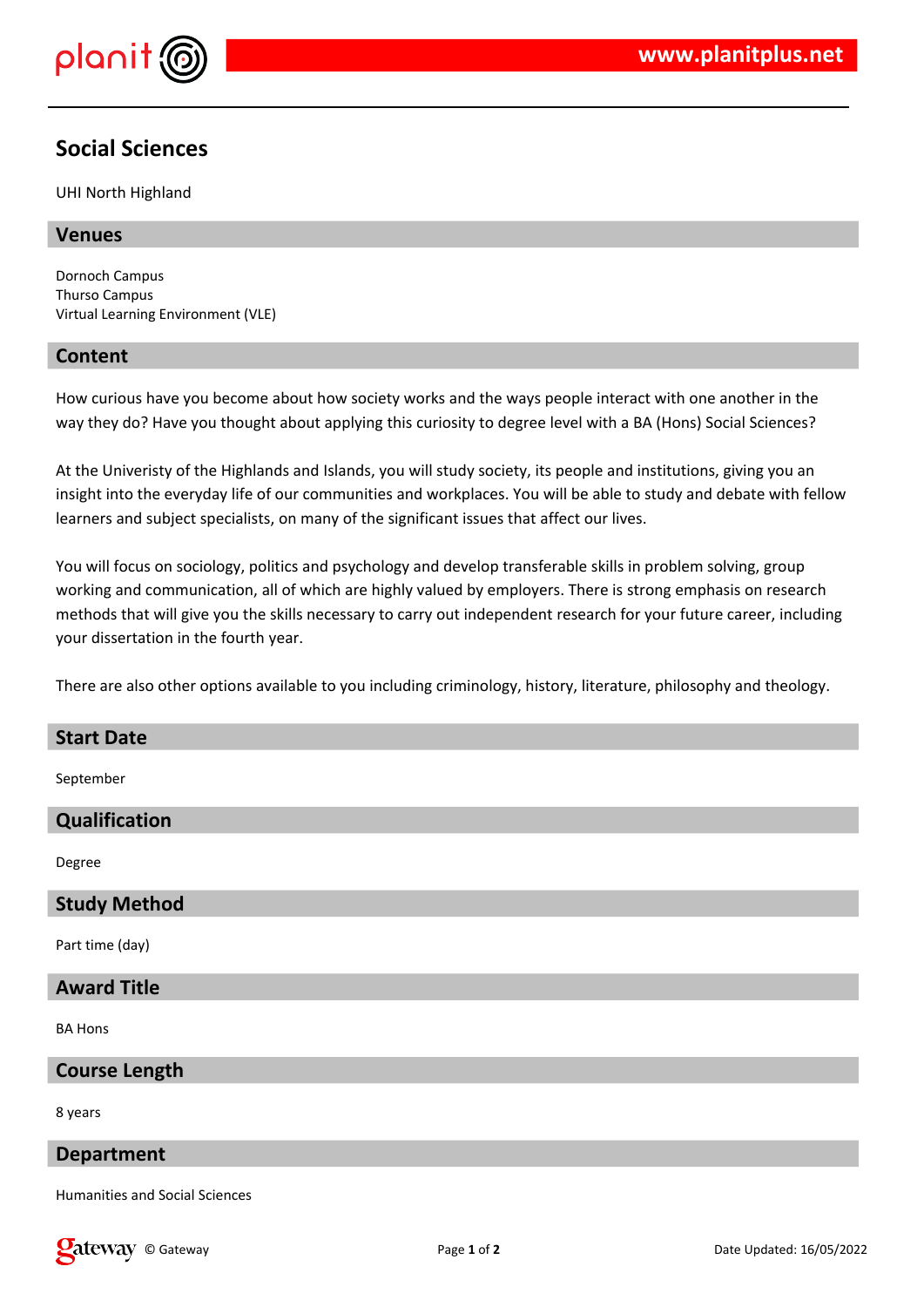

# **Social Sciences**

UHI North Highland

# **Venues**

Dornoch Campus Thurso Campus Virtual Learning Environment (VLE)

### **Content**

How curious have you become about how society works and the ways people interact with one another in the way they do? Have you thought about applying this curiosity to degree level with a BA (Hons) Social Sciences?

At the Univeristy of the Highlands and Islands, you will study society, its people and institutions, giving you an insight into the everyday life of our communities and workplaces. You will be able to study and debate with fellow learners and subject specialists, on many of the significant issues that affect our lives.

You will focus on sociology, politics and psychology and develop transferable skills in problem solving, group working and communication, all of which are highly valued by employers. There is strong emphasis on research methods that will give you the skills necessary to carry out independent research for your future career, including your dissertation in the fourth year.

There are also other options available to you including criminology, history, literature, philosophy and theology.

#### **Start Date**

September

# **Qualification**

Degree

#### **Study Method**

Part time (day)

#### **Award Title**

BA Hons

#### **Course Length**

8 years

#### **Department**

Humanities and Social Sciences

**Cateway** © Gateway **Page 1** of 2 **Date Updated: 16/05/2022** Date Updated: 16/05/2022